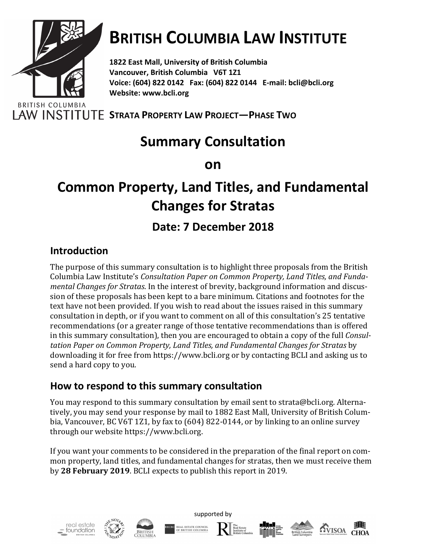

# **BRITISH COLUMBIA LAW INSTITUTE**

**1822 East Mall, University of British Columbia Vancouver, British Columbia V6T 1Z1 Voice: (604) 822 0142 Fax: (604) 822 0144 E-mail: bcli@bcli.org Website: www.bcli.org**

LAW INSTITUTE STRATA PROPERTY LAW PROJECT-PHASE TWO

### **Summary Consultation**

**on**

## **Common Property, Land Titles, and Fundamental Changes for Stratas**

### **Date: 7 December 2018**

#### **Introduction**

The purpose of this summary consultation is to highlight three proposals from the British Columbia Law Institute's Consultation Paper on Common Property, Land Titles, and Funda*mental Changes for Stratas*. In the interest of brevity, background information and discussion of these proposals has been kept to a bare minimum. Citations and footnotes for the text have not been provided. If you wish to read about the issues raised in this summary consultation in depth, or if you want to comment on all of this consultation's 25 tentative recommendations (or a greater range of those tentative recommendations than is offered in this summary consultation), then you are encouraged to obtain a copy of the full *Consultation Paper on Common Property, Land Titles, and Fundamental Changes for Stratas* by downloading it for free from https://www.bcli.org or by contacting BCLI and asking us to send a hard copy to you.

#### **How to respond to this summary consultation**

You may respond to this summary consultation by email sent to strata@bcli.org. Alternatively, you may send your response by mail to 1882 East Mall, University of British Columbia, Vancouver, BC V6T 1Z1, by fax to  $(604)$  822-0144, or by linking to an online survey through our website https://www.bcli.org.

If you want your comments to be considered in the preparation of the final report on common property, land titles, and fundamental changes for stratas, then we must receive them by 28 February 2019. BCLI expects to publish this report in 2019.

supported by











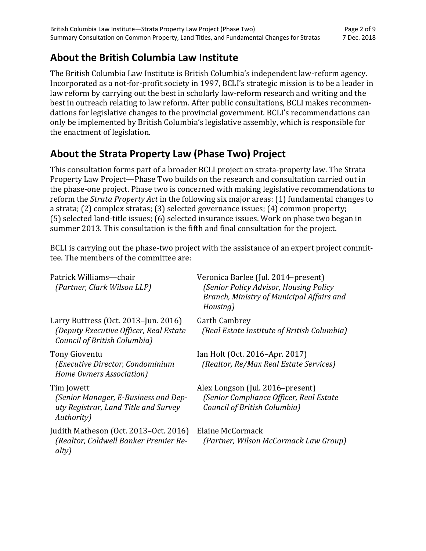#### **About the British Columbia Law Institute**

The British Columbia Law Institute is British Columbia's independent law-reform agency. Incorporated as a not-for-profit society in 1997, BCLI's strategic mission is to be a leader in law reform by carrying out the best in scholarly law-reform research and writing and the best in outreach relating to law reform. After public consultations, BCLI makes recommendations for legislative changes to the provincial government. BCLI's recommendations can only be implemented by British Columbia's legislative assembly, which is responsible for the enactment of legislation.

#### **About the Strata Property Law (Phase Two) Project**

This consultation forms part of a broader BCLI project on strata-property law. The Strata Property Law Project—Phase Two builds on the research and consultation carried out in the phase-one project. Phase two is concerned with making legislative recommendations to reform the *Strata Property Act* in the following six major areas: (1) fundamental changes to a strata;  $(2)$  complex stratas;  $(3)$  selected governance issues;  $(4)$  common property;  $(5)$  selected land-title issues;  $(6)$  selected insurance issues. Work on phase two began in summer 2013. This consultation is the fifth and final consultation for the project.

BCLI is carrying out the phase-two project with the assistance of an expert project committee. The members of the committee are:

| Patrick Williams—chair<br>(Partner, Clark Wilson LLP)                                                            | Veronica Barlee (Jul. 2014-present)<br>(Senior Policy Advisor, Housing Policy<br>Branch, Ministry of Municipal Affairs and<br>Housing) |
|------------------------------------------------------------------------------------------------------------------|----------------------------------------------------------------------------------------------------------------------------------------|
| Larry Buttress (Oct. 2013-Jun. 2016)<br>(Deputy Executive Officer, Real Estate<br>Council of British Columbia)   | <b>Garth Cambrey</b><br>(Real Estate Institute of British Columbia)                                                                    |
| Tony Gioventu<br>(Executive Director, Condominium<br>Home Owners Association)                                    | Ian Holt (Oct. 2016–Apr. 2017)<br>(Realtor, Re/Max Real Estate Services)                                                               |
| Tim Jowett<br>(Senior Manager, E-Business and Dep-<br>uty Registrar, Land Title and Survey<br><i>Authority</i> ) | Alex Longson (Jul. 2016–present)<br>(Senior Compliance Officer, Real Estate<br>Council of British Columbia)                            |
| Judith Matheson (Oct. 2013-Oct. 2016)<br>(Realtor, Coldwell Banker Premier Re-<br>alty)                          | Elaine McCormack<br>(Partner, Wilson McCormack Law Group)                                                                              |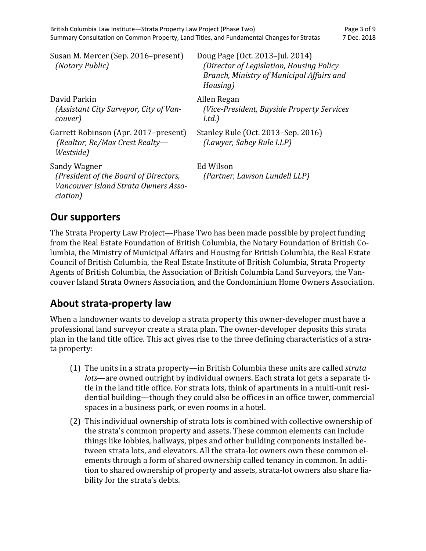| Susan M. Mercer (Sep. 2016–present)<br>(Notary Public)                                                    | Doug Page (Oct. 2013–Jul. 2014)<br>(Director of Legislation, Housing Policy<br>Branch, Ministry of Municipal Affairs and<br>Housing) |
|-----------------------------------------------------------------------------------------------------------|--------------------------------------------------------------------------------------------------------------------------------------|
| David Parkin<br>(Assistant City Surveyor, City of Van-<br>couver)                                         | Allen Regan<br>(Vice-President, Bayside Property Services<br>Ltd.)                                                                   |
| Garrett Robinson (Apr. 2017–present)<br>(Realtor, Re/Max Crest Realty-<br>Westside)                       | Stanley Rule (Oct. 2013–Sep. 2016)<br>(Lawyer, Sabey Rule LLP)                                                                       |
| Sandy Wagner<br>(President of the Board of Directors,<br>Vancouver Island Strata Owners Asso-<br>ciation) | Ed Wilson<br>(Partner, Lawson Lundell LLP)                                                                                           |

#### **Our supporters**

The Strata Property Law Project—Phase Two has been made possible by project funding from the Real Estate Foundation of British Columbia, the Notary Foundation of British Columbia, the Ministry of Municipal Affairs and Housing for British Columbia, the Real Estate Council of British Columbia, the Real Estate Institute of British Columbia, Strata Property Agents of British Columbia, the Association of British Columbia Land Surveyors, the Vancouver Island Strata Owners Association, and the Condominium Home Owners Association.

#### **About strata-property law**

When a landowner wants to develop a strata property this owner-developer must have a professional land surveyor create a strata plan. The owner-developer deposits this strata plan in the land title office. This act gives rise to the three defining characteristics of a strata property:

- (1) The units in a strata property—in British Columbia these units are called *strata lots*—are owned outright by individual owners. Each strata lot gets a separate title in the land title office. For strata lots, think of apartments in a multi-unit residential building—though they could also be offices in an office tower, commercial spaces in a business park, or even rooms in a hotel.
- $(2)$  This individual ownership of strata lots is combined with collective ownership of the strata's common property and assets. These common elements can include things like lobbies, hallways, pipes and other building components installed between strata lots, and elevators. All the strata-lot owners own these common elements through a form of shared ownership called tenancy in common. In addition to shared ownership of property and assets, strata-lot owners also share liability for the strata's debts.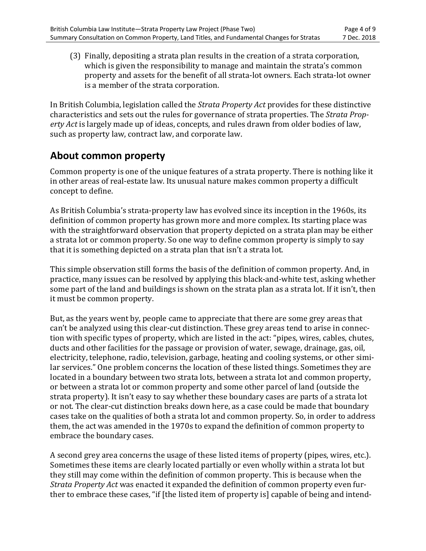(3) Finally, depositing a strata plan results in the creation of a strata corporation, which is given the responsibility to manage and maintain the strata's common property and assets for the benefit of all strata-lot owners. Each strata-lot owner is a member of the strata corporation.

In British Columbia, legislation called the *Strata Property Act* provides for these distinctive characteristics and sets out the rules for governance of strata properties. The *Strata Property Act* is largely made up of ideas, concepts, and rules drawn from older bodies of law, such as property law, contract law, and corporate law.

#### **About common property**

Common property is one of the unique features of a strata property. There is nothing like it in other areas of real-estate law. Its unusual nature makes common property a difficult concept to define.

As British Columbia's strata-property law has evolved since its inception in the 1960s, its definition of common property has grown more and more complex. Its starting place was with the straightforward observation that property depicted on a strata plan may be either a strata lot or common property. So one way to define common property is simply to say that it is something depicted on a strata plan that isn't a strata lot.

This simple observation still forms the basis of the definition of common property. And, in practice, many issues can be resolved by applying this black-and-white test, asking whether some part of the land and buildings is shown on the strata plan as a strata lot. If it isn't, then it must be common property.

But, as the years went by, people came to appreciate that there are some grey areas that can't be analyzed using this clear-cut distinction. These grey areas tend to arise in connection with specific types of property, which are listed in the act: "pipes, wires, cables, chutes, ducts and other facilities for the passage or provision of water, sewage, drainage, gas, oil, electricity, telephone, radio, television, garbage, heating and cooling systems, or other similar services." One problem concerns the location of these listed things. Sometimes they are located in a boundary between two strata lots, between a strata lot and common property, or between a strata lot or common property and some other parcel of land (outside the strata property). It isn't easy to say whether these boundary cases are parts of a strata lot or not. The clear-cut distinction breaks down here, as a case could be made that boundary cases take on the qualities of both a strata lot and common property. So, in order to address them, the act was amended in the 1970s to expand the definition of common property to embrace the boundary cases.

A second grey area concerns the usage of these listed items of property (pipes, wires, etc.). Sometimes these items are clearly located partially or even wholly within a strata lot but they still may come within the definition of common property. This is because when the *Strata Property Act* was enacted it expanded the definition of common property even further to embrace these cases, "if [the listed item of property is] capable of being and intend-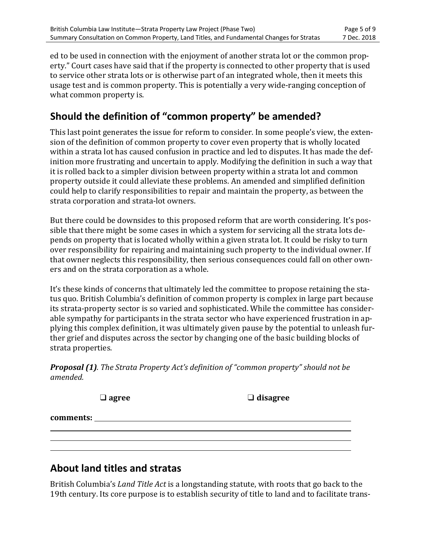ed to be used in connection with the enjoyment of another strata lot or the common property." Court cases have said that if the property is connected to other property that is used to service other strata lots or is otherwise part of an integrated whole, then it meets this usage test and is common property. This is potentially a very wide-ranging conception of what common property is.

#### **Should the definition of "common property" be amended?**

This last point generates the issue for reform to consider. In some people's view, the extension of the definition of common property to cover even property that is wholly located within a strata lot has caused confusion in practice and led to disputes. It has made the definition more frustrating and uncertain to apply. Modifying the definition in such a way that it is rolled back to a simpler division between property within a strata lot and common property outside it could alleviate these problems. An amended and simplified definition could help to clarify responsibilities to repair and maintain the property, as between the strata corporation and strata-lot owners.

But there could be downsides to this proposed reform that are worth considering. It's possible that there might be some cases in which a system for servicing all the strata lots depends on property that is located wholly within a given strata lot. It could be risky to turn over responsibility for repairing and maintaining such property to the individual owner. If that owner neglects this responsibility, then serious consequences could fall on other owners and on the strata corporation as a whole.

It's these kinds of concerns that ultimately led the committee to propose retaining the status quo. British Columbia's definition of common property is complex in large part because its strata-property sector is so varied and sophisticated. While the committee has considerable sympathy for participants in the strata sector who have experienced frustration in applying this complex definition, it was ultimately given pause by the potential to unleash further grief and disputes across the sector by changing one of the basic building blocks of strata properties.

**Proposal (1)***.* The Strata Property Act's definition of "common property" should not be *amended.*

|           | $\Box$ agree | $\Box$ disagree |
|-----------|--------------|-----------------|
| comments: |              |                 |
|           |              |                 |
|           |              |                 |

#### **About land titles and stratas**

British Columbia's *Land Title Act* is a longstanding statute, with roots that go back to the 19th century. Its core purpose is to establish security of title to land and to facilitate trans-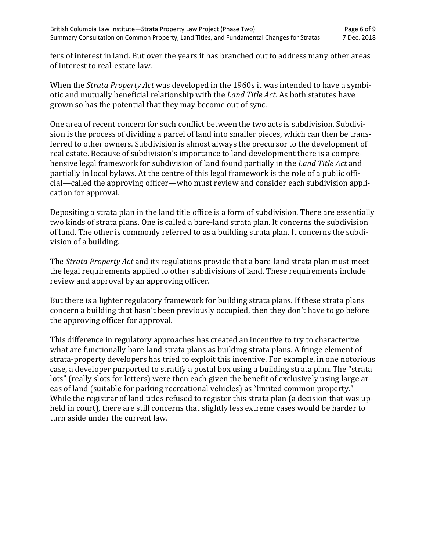fers of interest in land. But over the years it has branched out to address many other areas of interest to real-estate law.

When the *Strata Property Act* was developed in the 1960s it was intended to have a symbiotic and mutually beneficial relationship with the *Land Title Act*. As both statutes have grown so has the potential that they may become out of sync.

One area of recent concern for such conflict between the two acts is subdivision. Subdivision is the process of dividing a parcel of land into smaller pieces, which can then be transferred to other owners. Subdivision is almost always the precursor to the development of real estate. Because of subdivision's importance to land development there is a comprehensive legal framework for subdivision of land found partially in the *Land Title Act* and partially in local bylaws. At the centre of this legal framework is the role of a public official—called the approving officer—who must review and consider each subdivision application for approval.

Depositing a strata plan in the land title office is a form of subdivision. There are essentially two kinds of strata plans. One is called a bare-land strata plan. It concerns the subdivision of land. The other is commonly referred to as a building strata plan. It concerns the subdivision of a building.

The *Strata Property Act* and its regulations provide that a bare-land strata plan must meet the legal requirements applied to other subdivisions of land. These requirements include review and approval by an approving officer.

But there is a lighter regulatory framework for building strata plans. If these strata plans concern a building that hasn't been previously occupied, then they don't have to go before the approving officer for approval.

This difference in regulatory approaches has created an incentive to try to characterize what are functionally bare-land strata plans as building strata plans. A fringe element of strata-property developers has tried to exploit this incentive. For example, in one notorious case, a developer purported to stratify a postal box using a building strata plan. The "strata lots" (really slots for letters) were then each given the benefit of exclusively using large areas of land (suitable for parking recreational vehicles) as "limited common property." While the registrar of land titles refused to register this strata plan (a decision that was upheld in court), there are still concerns that slightly less extreme cases would be harder to turn aside under the current law.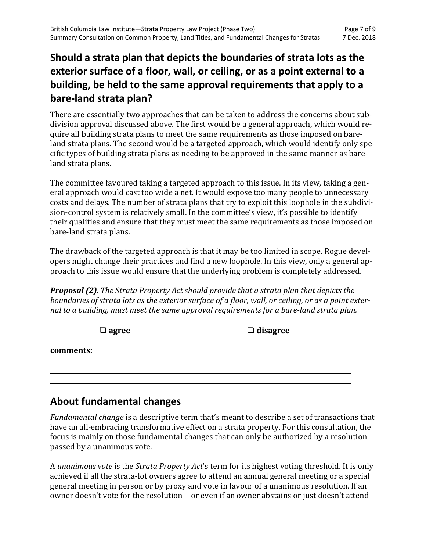#### **Should a strata plan that depicts the boundaries of strata lots as the exterior surface of a floor, wall, or ceiling, or as a point external to a building, be held to the same approval requirements that apply to a bare-land strata plan?**

There are essentially two approaches that can be taken to address the concerns about subdivision approval discussed above. The first would be a general approach, which would require all building strata plans to meet the same requirements as those imposed on bareland strata plans. The second would be a targeted approach, which would identify only specific types of building strata plans as needing to be approved in the same manner as bareland strata plans.

The committee favoured taking a targeted approach to this issue. In its view, taking a general approach would cast too wide a net. It would expose too many people to unnecessary costs and delays. The number of strata plans that try to exploit this loophole in the subdivision-control system is relatively small. In the committee's view, it's possible to identify their qualities and ensure that they must meet the same requirements as those imposed on bare-land strata plans.

The drawback of the targeted approach is that it may be too limited in scope. Rogue developers might change their practices and find a new loophole. In this view, only a general approach to this issue would ensure that the underlying problem is completely addressed.

**Proposal (2)***.* The Strata Property Act should provide that a strata plan that depicts the *boundaries of strata lots as the exterior surface of a floor, wall, or ceiling, or as a point exter*nal to a building, must meet the same approval requirements for a bare-land strata plan.

|           | $\Box$ agree | $\Box$ disagree |
|-----------|--------------|-----------------|
| comments: |              |                 |
|           |              |                 |

#### **About fundamental changes**

*Fundamental change* is a descriptive term that's meant to describe a set of transactions that have an all-embracing transformative effect on a strata property. For this consultation, the focus is mainly on those fundamental changes that can only be authorized by a resolution passed by a unanimous vote.

A *unanimous vote* is the *Strata Property Act's* term for its highest voting threshold. It is only achieved if all the strata-lot owners agree to attend an annual general meeting or a special general meeting in person or by proxy and vote in favour of a unanimous resolution. If an owner doesn't vote for the resolution—or even if an owner abstains or just doesn't attend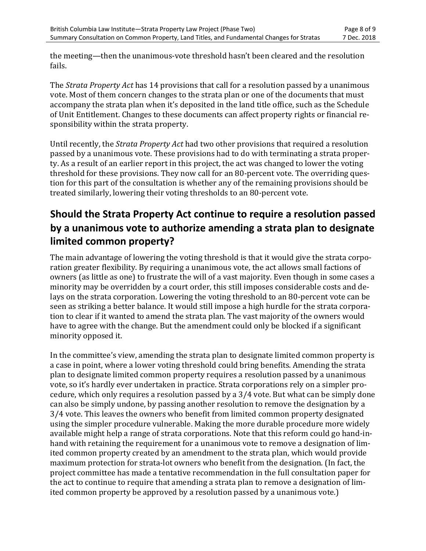the meeting—then the unanimous-vote threshold hasn't been cleared and the resolution fails.

The *Strata Property Act* has 14 provisions that call for a resolution passed by a unanimous vote. Most of them concern changes to the strata plan or one of the documents that must accompany the strata plan when it's deposited in the land title office, such as the Schedule of Unit Entitlement. Changes to these documents can affect property rights or financial responsibility within the strata property.

Until recently, the *Strata Property Act* had two other provisions that required a resolution passed by a unanimous vote. These provisions had to do with terminating a strata property. As a result of an earlier report in this project, the act was changed to lower the voting threshold for these provisions. They now call for an 80-percent vote. The overriding question for this part of the consultation is whether any of the remaining provisions should be treated similarly, lowering their voting thresholds to an 80-percent vote.

#### **Should the Strata Property Act continue to require a resolution passed by a unanimous vote to authorize amending a strata plan to designate limited common property?**

The main advantage of lowering the voting threshold is that it would give the strata corporation greater flexibility. By requiring a unanimous vote, the act allows small factions of owners (as little as one) to frustrate the will of a vast majority. Even though in some cases a minority may be overridden by a court order, this still imposes considerable costs and delays on the strata corporation. Lowering the voting threshold to an 80-percent vote can be seen as striking a better balance. It would still impose a high hurdle for the strata corporation to clear if it wanted to amend the strata plan. The vast majority of the owners would have to agree with the change. But the amendment could only be blocked if a significant minority opposed it.

In the committee's view, amending the strata plan to designate limited common property is a case in point, where a lower voting threshold could bring benefits. Amending the strata plan to designate limited common property requires a resolution passed by a unanimous vote, so it's hardly ever undertaken in practice. Strata corporations rely on a simpler procedure, which only requires a resolution passed by a  $3/4$  vote. But what can be simply done can also be simply undone, by passing another resolution to remove the designation by a 3/4 vote. This leaves the owners who benefit from limited common property designated using the simpler procedure vulnerable. Making the more durable procedure more widely available might help a range of strata corporations. Note that this reform could go hand-inhand with retaining the requirement for a unanimous vote to remove a designation of limited common property created by an amendment to the strata plan, which would provide maximum protection for strata-lot owners who benefit from the designation. (In fact, the project committee has made a tentative recommendation in the full consultation paper for the act to continue to require that amending a strata plan to remove a designation of limited common property be approved by a resolution passed by a unanimous vote.)